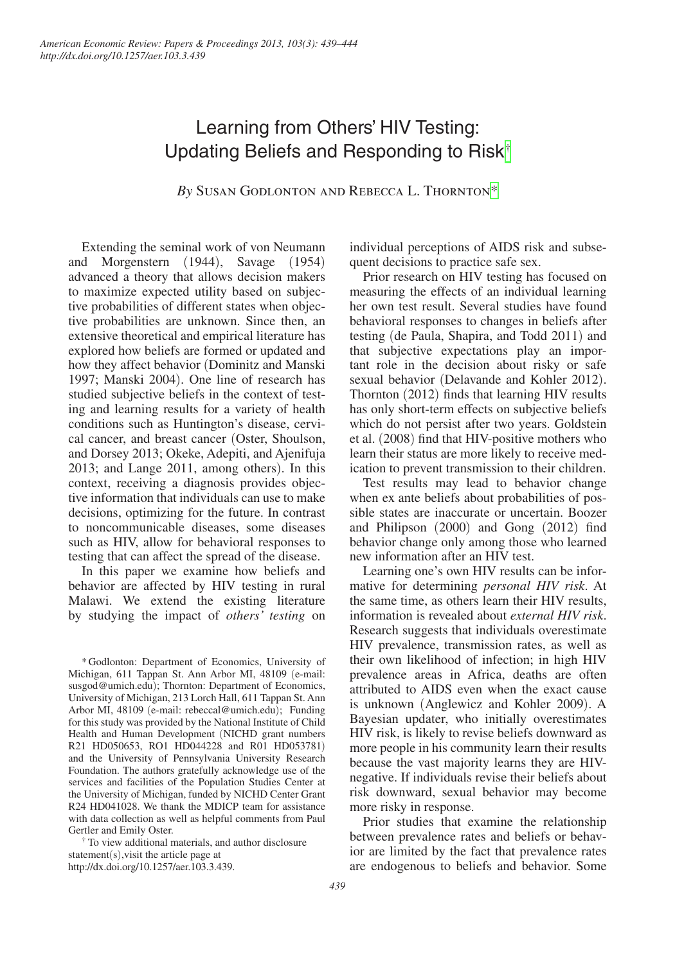# Learning from Others' HIV Testing: Updating Beliefs and Responding to Risk[†](#page-0-0)

*By* Susan Godlonton and Rebecca L. Thornto[n\\*](#page-0-1)

Extending the seminal work of von Neumann and Morgenstern (1944), Savage (1954) advanced a theory that allows decision makers to maximize expected utility based on subjective probabilities of different states when objective probabilities are unknown. Since then, an extensive theoretical and empirical literature has explored how beliefs are formed or updated and how they affect behavior (Dominitz and Manski 1997; Manski 2004). One line of research has studied subjective beliefs in the context of testing and learning results for a variety of health conditions such as Huntington's disease, cervical cancer, and breast cancer (Oster, Shoulson, and Dorsey 2013; Okeke, Adepiti, and Ajenifuja 2013; and Lange 2011, among others). In this context, receiving a diagnosis provides objective information that individuals can use to make decisions, optimizing for the future. In contrast to noncommunicable diseases, some diseases such as HIV, allow for behavioral responses to testing that can affect the spread of the disease.

In this paper we examine how beliefs and behavior are affected by HIV testing in rural Malawi. We extend the existing literature by studying the impact of *others' testing* on

<span id="page-0-1"></span>\*Godlonton: Department of Economics, University of Michigan, 611 Tappan St. Ann Arbor MI, 48109 (e-mail: [susgod@umich.edu](mailto:susgod@umich.edu)); Thornton: Department of Economics, University of Michigan, 213 Lorch Hall, 611 Tappan St. Ann Arbor MI, 48109 (e-mail: [rebeccal@umich.edu](mailto:rebeccal@umich.edu)); Funding for this study was provided by the National Institute of Child Health and Human Development (NICHD grant numbers R21 HD050653, RO1 HD044228 and R01 HD053781) and the University of Pennsylvania University Research Foundation. The authors gratefully acknowledge use of the services and facilities of the Population Studies Center at the University of Michigan, funded by NICHD Center Grant R24 HD041028. We thank the MDICP team for assistance with data collection as well as helpful comments from Paul

<span id="page-0-0"></span>Gertler and Emily Oster.<br>
<sup>†</sup> To view additional materials, and author disclosure statement(s),visit the article page at [http://dx.doi.org/10.1257/aer.103.3.439.](http://dx.doi.org/10.1257/aer.103.3.439)

individual perceptions of AIDS risk and subsequent decisions to practice safe sex.

Prior research on HIV testing has focused on measuring the effects of an individual learning her own test result. Several studies have found behavioral responses to changes in beliefs after testing (de Paula, Shapira, and Todd 2011) and that subjective expectations play an important role in the decision about risky or safe sexual behavior (Delavande and Kohler 2012). Thornton (2012) finds that learning HIV results has only short-term effects on subjective beliefs which do not persist after two years. Goldstein et al. (2008) find that HIV-positive mothers who learn their status are more likely to receive medication to prevent transmission to their children.

Test results may lead to behavior change when ex ante beliefs about probabilities of possible states are inaccurate or uncertain. Boozer and Philipson (2000) and Gong (2012) find behavior change only among those who learned new information after an HIV test.

Learning one's own HIV results can be informative for determining *personal HIV risk*. At the same time, as others learn their HIV results, information is revealed about *external HIV risk*. Research suggests that individuals overestimate HIV prevalence, transmission rates, as well as their own likelihood of infection; in high HIV prevalence areas in Africa, deaths are often attributed to AIDS even when the exact cause is unknown (Anglewicz and Kohler 2009). A Bayesian updater, who initially overestimates HIV risk, is likely to revise beliefs downward as more people in his community learn their results because the vast majority learns they are HIVnegative. If individuals revise their beliefs about risk downward, sexual behavior may become more risky in response.

Prior studies that examine the relationship between prevalence rates and beliefs or behavior are limited by the fact that prevalence rates are endogenous to beliefs and behavior. Some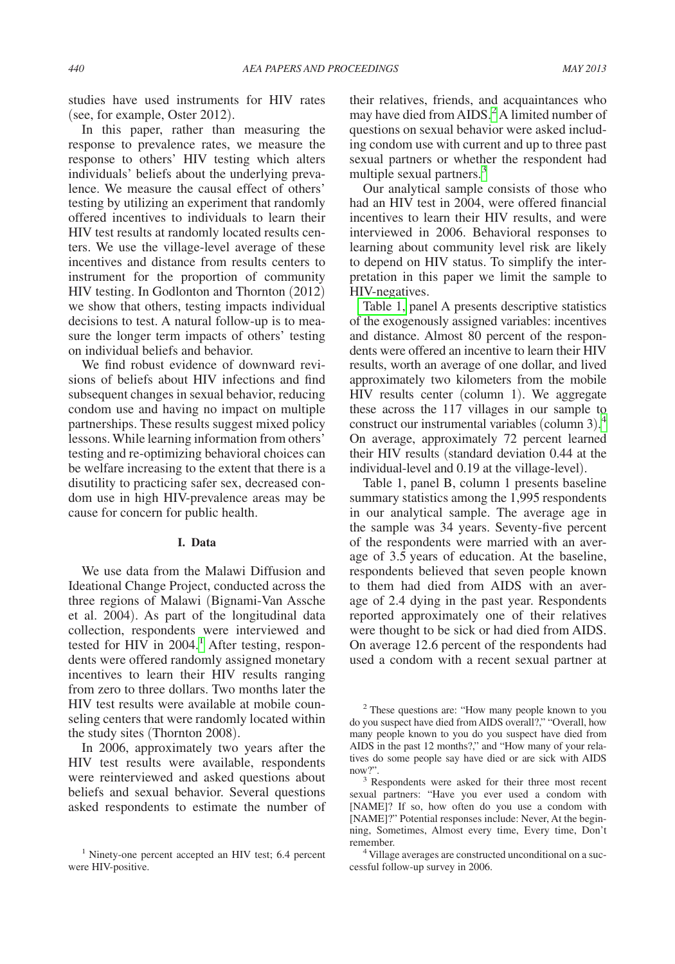studies have used instruments for HIV rates (see, for example, Oster 2012).

In this paper, rather than measuring the response to prevalence rates, we measure the response to others' HIV testing which alters individuals' beliefs about the underlying prevalence. We measure the causal effect of others' testing by utilizing an experiment that randomly offered incentives to individuals to learn their HIV test results at randomly located results centers. We use the village-level average of these incentives and distance from results centers to instrument for the proportion of community HIV testing. In Godlonton and Thornton (2012) we show that others, testing impacts individual decisions to test. A natural follow-up is to measure the longer term impacts of others' testing on individual beliefs and behavior.

We find robust evidence of downward revisions of beliefs about HIV infections and find subsequent changes in sexual behavior, reducing condom use and having no impact on multiple partnerships. These results suggest mixed policy lessons. While learning information from others' testing and re-optimizing behavioral choices can be welfare increasing to the extent that there is a disutility to practicing safer sex, decreased condom use in high HIV-prevalence areas may be cause for concern for public health.

### **I. Data**

We use data from the Malawi Diffusion and Ideational Change Project, conducted across the three regions of Malawi (Bignami-Van Assche et al. 2004). As part of the longitudinal data collection, respondents were interviewed and tested for  $HIV$  in 2004.<sup>[1](#page-1-0)</sup> After testing, respondents were offered randomly assigned monetary incentives to learn their HIV results ranging from zero to three dollars. Two months later the HIV test results were available at mobile counseling centers that were randomly located within the study sites (Thornton 2008).

In 2006, approximately two years after the HIV test results were available, respondents were reinterviewed and asked questions about beliefs and sexual behavior. Several questions asked respondents to estimate the number of their relatives, friends, and acquaintances who may have died from AIDS.<sup>[2](#page-1-1)</sup> A limited number of questions on sexual behavior were asked including condom use with current and up to three past sexual partners or whether the respondent had multiple sexual partners.<sup>[3](#page-1-2)</sup>

Our analytical sample consists of those who had an HIV test in 2004, were offered financial incentives to learn their HIV results, and were interviewed in 2006. Behavioral responses to learning about community level risk are likely to depend on HIV status. To simplify the interpretation in this paper we limit the sample to HIV-negatives.

[Table 1,](#page-2-0) panel A presents descriptive statistics of the exogenously assigned variables: incentives and distance. Almost 80 percent of the respondents were offered an incentive to learn their HIV results, worth an average of one dollar, and lived approximately two kilometers from the mobile HIV results center (column 1). We aggregate these across the 117 villages in our sample to construct our instrumental variables (column 3). $^{4}$  $^{4}$  $^{4}$ On average, approximately 72 percent learned their HIV results (standard deviation 0.44 at the individual-level and 0.19 at the village-level).

Table 1, panel B, column 1 presents baseline summary statistics among the 1,995 respondents in our analytical sample. The average age in the sample was 34 years. Seventy-five percent of the respondents were married with an average of 3.5 years of education. At the baseline, respondents believed that seven people known to them had died from AIDS with an average of 2.4 dying in the past year. Respondents reported approximately one of their relatives were thought to be sick or had died from AIDS. On average 12.6 percent of the respondents had used a condom with a recent sexual partner at

<span id="page-1-0"></span><sup>&</sup>lt;sup>1</sup> Ninety-one percent accepted an HIV test; 6.4 percent were HIV-positive.

<span id="page-1-1"></span><sup>2</sup> These questions are: "How many people known to you do you suspect have died from AIDS overall?," "Overall, how many people known to you do you suspect have died from AIDS in the past 12 months?," and "How many of your relatives do some people say have died or are sick with AIDS now?".<br><sup>3</sup> Respondents were asked for their three most recent

<span id="page-1-2"></span>sexual partners: "Have you ever used a condom with [NAME]? If so, how often do you use a condom with [NAME]?" Potential responses include: Never, At the beginning, Sometimes, Almost every time, Every time, Don't remember. 4 Village averages are constructed unconditional on a suc-

<span id="page-1-3"></span>cessful follow-up survey in 2006.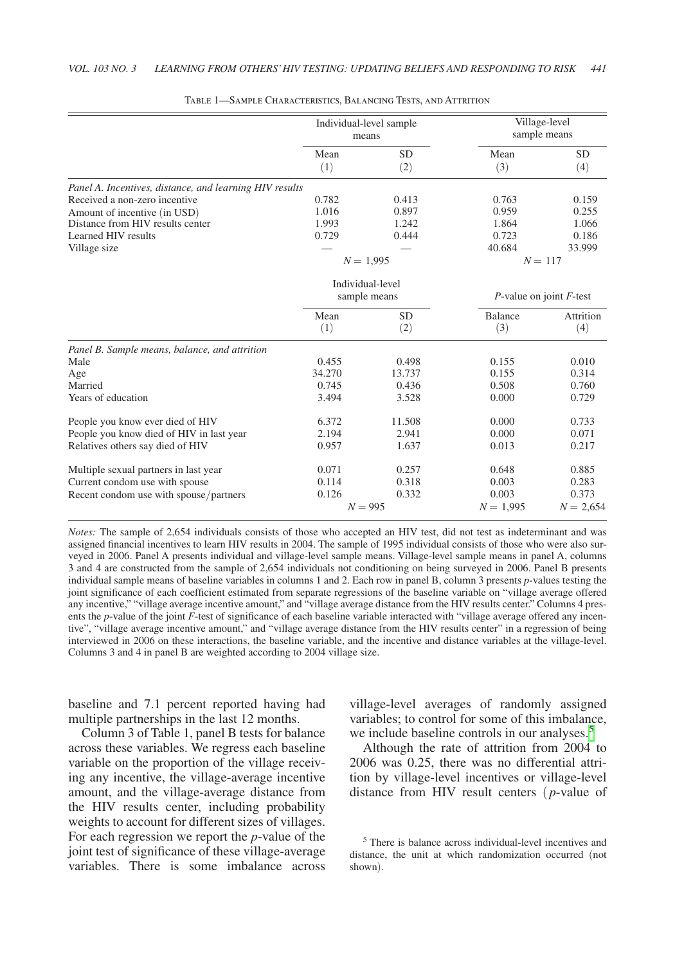<span id="page-2-0"></span>

|                                                         |             | Individual-level sample<br>means |                               | Village-level<br>sample means |  |
|---------------------------------------------------------|-------------|----------------------------------|-------------------------------|-------------------------------|--|
|                                                         | Mean        | <b>SD</b>                        | Mean                          | <b>SD</b>                     |  |
|                                                         | (1)         | (2)                              | (3)                           | (4)                           |  |
| Panel A. Incentives, distance, and learning HIV results |             |                                  |                               |                               |  |
| Received a non-zero incentive                           | 0.782       | 0.413                            | 0.763                         | 0.159                         |  |
| Amount of incentive (in USD)                            | 1.016       | 0.897                            | 0.959                         | 0.255                         |  |
| Distance from HIV results center                        | 1.993       | 1.242                            | 1.864                         | 1.066                         |  |
| Learned HIV results                                     | 0.729       | 0.444                            | 0.723                         | 0.186                         |  |
| Village size                                            |             |                                  | 40.684                        | 33.999                        |  |
|                                                         |             | $N = 1,995$                      |                               | $N = 117$                     |  |
|                                                         |             | Individual-level                 |                               |                               |  |
|                                                         |             | sample means                     | $P$ -value on joint $F$ -test |                               |  |
|                                                         | Mean<br>(1) | <b>SD</b><br>(2)                 | <b>Balance</b><br>(3)         | Attrition<br>(4)              |  |
| Panel B. Sample means, balance, and attrition           |             |                                  |                               |                               |  |
| Male                                                    | 0.455       | 0.498                            | 0.155                         | 0.010                         |  |
| Age                                                     | 34.270      | 13.737                           | 0.155                         | 0.314                         |  |
| Married                                                 | 0.745       | 0.436                            | 0.508                         | 0.760                         |  |
| Years of education                                      | 3.494       | 3.528                            | 0.000                         | 0.729                         |  |
| People you know ever died of HIV                        | 6.372       | 11.508                           | 0.000                         | 0.733                         |  |
| People you know died of HIV in last year                | 2.194       | 2.941                            | 0.000                         | 0.071                         |  |
| Relatives others say died of HIV                        | 0.957       | 1.637                            | 0.013                         | 0.217                         |  |
| Multiple sexual partners in last year                   | 0.071       | 0.257                            | 0.648                         | 0.885                         |  |
| Current condom use with spouse                          | 0.114       | 0.318                            | 0.003                         | 0.283                         |  |
| Recent condom use with spouse/partners                  | 0.126       | 0.332                            | 0.003                         | 0.373                         |  |
|                                                         |             | $N = 995$                        | $N = 1,995$                   | $N = 2,654$                   |  |

| TABLE 1—SAMPLE CHARACTERISTICS, BALANCING TESTS, AND ATTRITION |  |  |  |  |  |  |  |
|----------------------------------------------------------------|--|--|--|--|--|--|--|
|----------------------------------------------------------------|--|--|--|--|--|--|--|

*Notes:* The sample of 2,654 individuals consists of those who accepted an HIV test, did not test as indeterminant and was assigned financial incentives to learn HIV results in 2004. The sample of 1995 individual consists of those who were also surveyed in 2006. Panel A presents individual and village-level sample means. Village-level sample means in panel A, columns 3 and 4 are constructed from the sample of 2,654 individuals not conditioning on being surveyed in 2006. Panel B presents individual sample means of baseline variables in columns 1 and 2. Each row in panel B, column 3 presents *p*-values testing the joint significance of each coefficient estimated from separate regressions of the baseline variable on "village average offered any incentive," "village average incentive amount," and "village average distance from the HIV results center." Columns 4 presents the *p*-value of the joint *F*-test of significance of each baseline variable interacted with "village average offered any incentive", "village average incentive amount," and "village average distance from the HIV results center" in a regression of being interviewed in 2006 on these interactions, the baseline variable, and the incentive and distance variables at the village-level. Columns 3 and 4 in panel B are weighted according to 2004 village size.

baseline and 7.1 percent reported having had multiple partnerships in the last 12 months.

Column 3 of Table 1, panel B tests for balance across these variables. We regress each baseline variable on the proportion of the village receiving any incentive, the village-average incentive amount, and the village-average distance from the HIV results center, including probability weights to account for different sizes of villages. For each regression we report the *p*-value of the joint test of significance of these village-average variables. There is some imbalance across village-level averages of randomly assigned variables; to control for some of this imbalance, we include baseline controls in our analyses.<sup>[5](#page-2-1)</sup>

Although the rate of attrition from 2004 to 2006 was 0.25, there was no differential attrition by village-level incentives or village-level distance from HIV result centers ( *p*-value of

<span id="page-2-1"></span><sup>5</sup> There is balance across individual-level incentives and distance, the unit at which randomization occurred (not shown).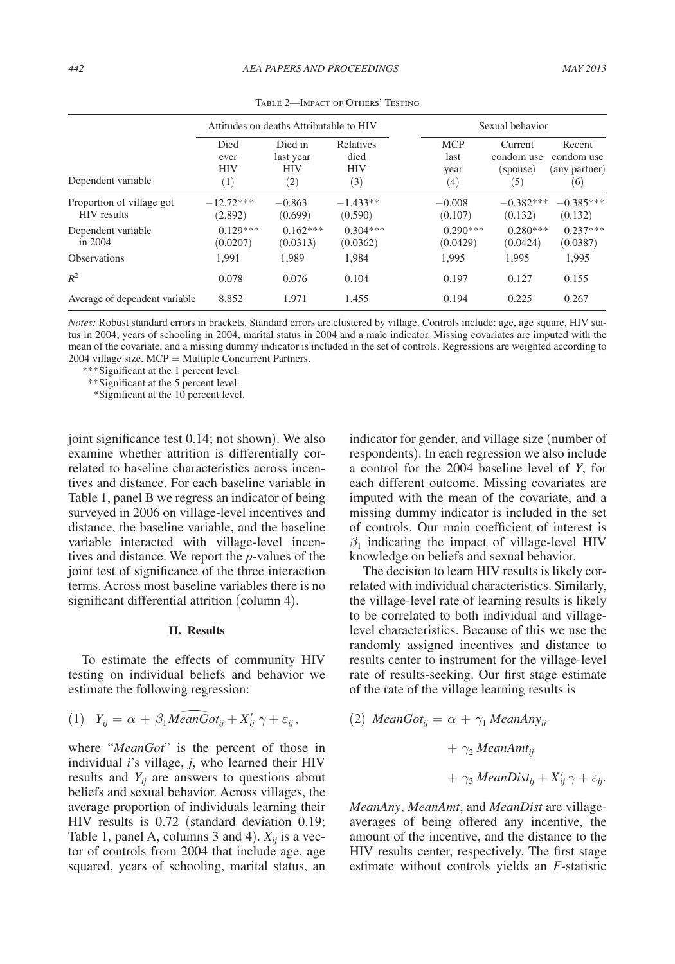<span id="page-3-0"></span>

|                                                 | Attitudes on deaths Attributable to HIV |                                           |                                               | Sexual behavior |                                   |                                          |                                              |
|-------------------------------------------------|-----------------------------------------|-------------------------------------------|-----------------------------------------------|-----------------|-----------------------------------|------------------------------------------|----------------------------------------------|
| Dependent variable                              | Died<br>ever<br><b>HIV</b><br>$^{(1)}$  | Died in<br>last year<br><b>HIV</b><br>(2) | <b>Relatives</b><br>died<br><b>HIV</b><br>(3) |                 | <b>MCP</b><br>last<br>year<br>(4) | Current<br>condom use<br>(spouse)<br>(5) | Recent<br>condom use<br>(any partner)<br>(6) |
| Proportion of village got<br><b>HIV</b> results | $-12.72***$<br>(2.892)                  | $-0.863$<br>(0.699)                       | $-1.433**$<br>(0.590)                         |                 | $-0.008$<br>(0.107)               | $-0.382***$<br>(0.132)                   | $-0.385***$<br>(0.132)                       |
| Dependent variable<br>in $2004$                 | $0.129***$<br>(0.0207)                  | $0.162***$<br>(0.0313)                    | $0.304***$<br>(0.0362)                        |                 | $0.290***$<br>(0.0429)            | $0.280***$<br>(0.0424)                   | $0.237***$<br>(0.0387)                       |
| <b>Observations</b>                             | 1.991                                   | 1.989                                     | 1.984                                         |                 | 1.995                             | 1.995                                    | 1,995                                        |
| $R^2$                                           | 0.078                                   | 0.076                                     | 0.104                                         |                 | 0.197                             | 0.127                                    | 0.155                                        |
| Average of dependent variable                   | 8.852                                   | 1.971                                     | 1.455                                         |                 | 0.194                             | 0.225                                    | 0.267                                        |

Table 2—Impact of Others' Testing

*Notes:* Robust standard errors in brackets. Standard errors are clustered by village. Controls include: age, age square, HIV status in 2004, years of schooling in 2004, marital status in 2004 and a male indicator. Missing covariates are imputed with the mean of the covariate, and a missing dummy indicator is included in the set of controls. Regressions are weighted according to 2004 village size. MCP = Multiple Concurrent Partners.

*\*\*\**Significant at the 1 percent level.

*\*\**Significant at the 5 percent level.

 *\**Significant at the 10 percent level.

joint significance test 0.14; not shown). We also examine whether attrition is differentially correlated to baseline characteristics across incentives and distance. For each baseline variable in Table 1, panel B we regress an indicator of being surveyed in 2006 on village-level incentives and distance, the baseline variable, and the baseline variable interacted with village-level incentives and distance. We report the *p*-values of the joint test of significance of the three interaction terms. Across most baseline variables there is no significant differential attrition (column 4).

#### **II. Results**

To estimate the effects of community HIV testing on individual beliefs and behavior we estimate the following regression: To estimate the effects<br>testing on individual beli<br>estimate the following reg<br>(1)  $Y_{ij} = \alpha + \beta_1 M \widehat{e} \widehat{a} \widehat{b}$ 

$$
(1) \quad Y_{ij} = \alpha + \beta_1 \widehat{MeanGot_{ij}} + X'_{ij} \gamma + \varepsilon_{ij},
$$

where "*MeanGot*" is the percent of those in individual *i*'s village, *j*, who learned their HIV results and  $Y_{ii}$  are answers to questions about beliefs and sexual behavior. Across villages, the average proportion of individuals learning their HIV results is 0.72 (standard deviation 0.19; Table 1, panel A, columns 3 and 4).  $X_{ii}$  is a vector of controls from 2004 that include age, age squared, years of schooling, marital status, an indicator for gender, and village size (number of respondents). In each regression we also include a control for the 2004 baseline level of *Y*, for each different outcome. Missing covariates are imputed with the mean of the covariate, and a missing dummy indicator is included in the set of controls. Our main coefficient of interest is  $\beta_1$  indicating the impact of village-level HIV knowledge on beliefs and sexual behavior.

The decision to learn HIV results is likely correlated with individual characteristics. Similarly, the village-level rate of learning results is likely to be correlated to both individual and villagelevel characteristics. Because of this we use the randomly assigned incentives and distance to results center to instrument for the village-level rate of results-seeking. Our first stage estimate of the rate of the village learning results is

(2) MeanGot<sub>ij</sub> = 
$$
\alpha + \gamma_1
$$
 MeanAny<sub>ij</sub>  
+  $\gamma_2$  MeanAmt<sub>ij</sub>  
+  $\gamma_3$  MeanDist<sub>ij</sub> +  $X'_{ij}$   $\gamma + \varepsilon_{ij}$ .

*MeanAny*, *MeanAmt*, and *MeanDist* are villageaverages of being offered any incentive, the amount of the incentive, and the distance to the HIV results center, respectively. The first stage estimate without controls yields an *F*-statistic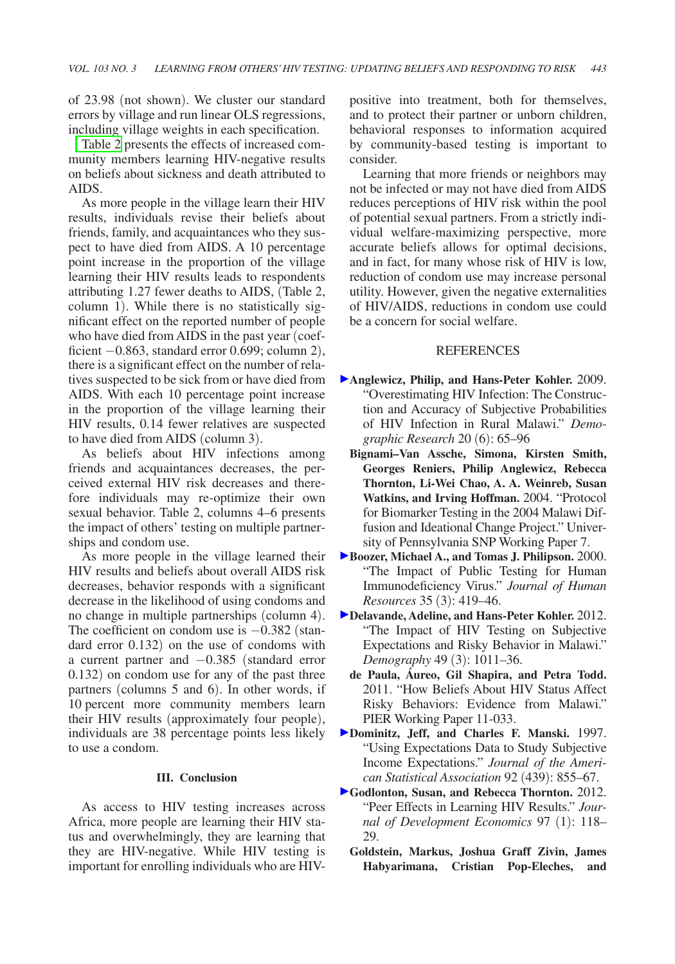of 23.98 (not shown). We cluster our standard errors by village and run linear OLS regressions, including village weights in each specification.

[Table 2](#page-3-0) presents the effects of increased community members learning HIV-negative results on beliefs about sickness and death attributed to AIDS.

As more people in the village learn their HIV results, individuals revise their beliefs about friends, family, and acquaintances who they suspect to have died from AIDS. A 10 percentage point increase in the proportion of the village learning their HIV results leads to respondents attributing 1.27 fewer deaths to AIDS, (Table 2, column 1). While there is no statistically significant effect on the reported number of people who have died from AIDS in the past year (coefficient −0.863, standard error 0.699; column 2), there is a significant effect on the number of relatives suspected to be sick from or have died from AIDS. With each 10 percentage point increase in the proportion of the village learning their HIV results, 0.14 fewer relatives are suspected to have died from AIDS (column 3).

As beliefs about HIV infections among friends and acquaintances decreases, the perceived external HIV risk decreases and therefore individuals may re-optimize their own sexual behavior. Table 2, columns 4–6 presents the impact of others' testing on multiple partnerships and condom use.

As more people in the village learned their HIV results and beliefs about overall AIDS risk decreases, behavior responds with a significant decrease in the likelihood of using condoms and no change in multiple partnerships (column 4). The coefficient on condom use is  $-0.382$  (standard error 0.132) on the use of condoms with a current partner and −0.385 (standard error 0.132) on condom use for any of the past three partners (columns 5 and 6). In other words, if 10 percent more community members learn their HIV results (approximately four people), individuals are 38 percentage points less likely to use a condom.

## **III. Conclusion**

As access to HIV testing increases across Africa, more people are learning their HIV status and overwhelmingly, they are learning that they are HIV-negative. While HIV testing is important for enrolling individuals who are HIV-

positive into treatment, both for themselves, and to protect their partner or unborn children, behavioral responses to information acquired by community-based testing is important to consider.

Learning that more friends or neighbors may not be infected or may not have died from AIDS reduces perceptions of HIV risk within the pool of potential sexual partners. From a strictly individual welfare-maximizing perspective, more accurate beliefs allows for optimal decisions, and in fact, for many whose risk of HIV is low, reduction of condom use may increase personal utility. However, given the negative externalities of HIV/AIDS, reductions in condom use could be a concern for social welfare.

#### **REFERENCES**

- **Anglewicz, Philip, and Hans-Peter Kohler.** 2009. "Overestimating HIV Infection: The Construction and Accuracy of Subjective Probabilities of HIV Infection in Rural Malawi." *Demographic Research* 20 (6): 65–96
	- **Bignami–Van Assche, Simona, Kirsten Smith, Georges Reniers, Philip Anglewicz, Rebecca Thornton, Li-Wei Chao, A. A. Weinreb, Susan Watkins, and Irving Hoffman.** 2004. "Protocol for Biomarker Testing in the 2004 Malawi Diffusion and Ideational Change Project." University of Pennsylvania SNP Working Paper 7.
- **Boozer, Michael A., and Tomas J. Philipson.** 2000. "The Impact of Public Testing for Human Immunodeficiency Virus." *Journal of Human Resources* 35 (3): 419–46.
- **Delavande, Adeline, and Hans-Peter Kohler.** 2012. "The Impact of HIV Testing on Subjective Expectations and Risky Behavior in Malawi." *Demography* 49 (3): 1011–36.
	- **de Paula, Áureo, Gil Shapira, and Petra Todd.**  2011. "How Beliefs About HIV Status Affect Risky Behaviors: Evidence from Malawi." PIER Working Paper 11-033.
- **Dominitz, Jeff, and Charles F. Manski.** 1997. "Using Expectations Data to Study Subjective Income Expectations." *Journal of the American Statistical Association* 92 (439): 855–67.
- **Godlonton, Susan, and Rebecca Thornton.** 2012. "Peer Effects in Learning HIV Results." *Journal of Development Economics* 97 (1): 118– 29.
	- **Goldstein, Markus, Joshua Graff Zivin, James Habyarimana, Cristian Pop-Eleches, and**